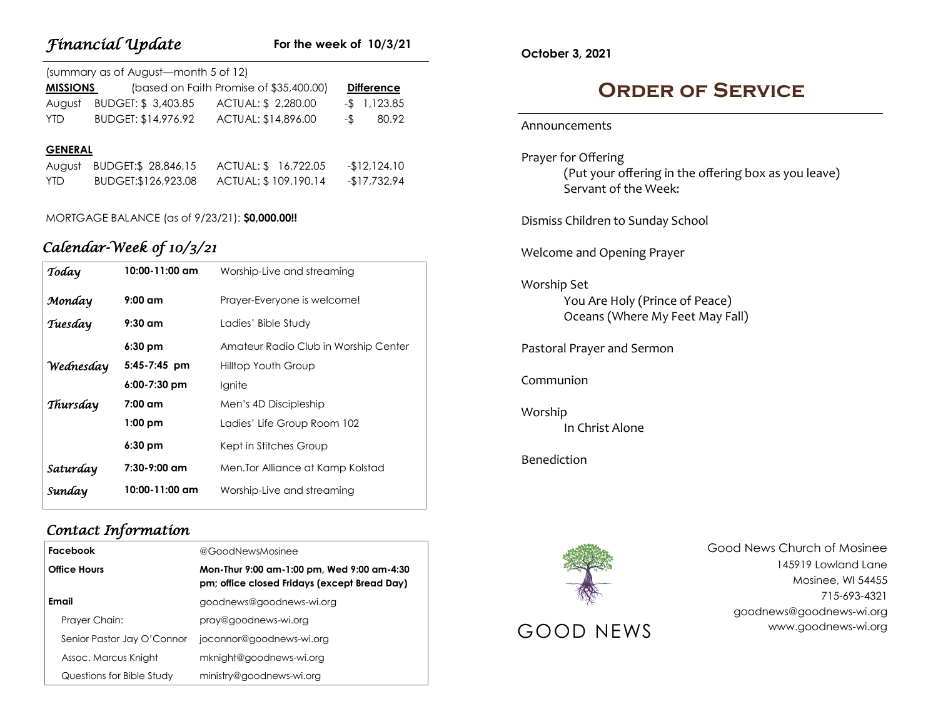|                 | <b>Financial Update</b>                    | For the week of $10/3/21$               |                   |
|-----------------|--------------------------------------------|-----------------------------------------|-------------------|
|                 | (summary as of August-month 5 of 12)       |                                         |                   |
| <b>MISSIONS</b> |                                            | (based on Faith Promise of \$35,400.00) | <b>Difference</b> |
| August          |                                            | BUDGET: \$3,403.85 ACTUAL: \$2,280.00   | $-$ \$ 1,123.85   |
| <b>YTD</b>      |                                            | BUDGET: \$14,976.92 ACTUAL: \$14,896.00 | 80.92<br>$-$ \$   |
| <b>GENERAL</b>  |                                            |                                         |                   |
|                 | August BUDGET:\$ 28,846,15                 | ACTUAL: \$16,722.05                     | $-12,124.10$      |
| <b>YTD</b>      | BUDGET:\$126,923.08                        | ACTUAL: \$ 109.190.14                   | $-$17,732.94$     |
| Today           | Calendar-Week of 10/3/21<br>10:00-11:00 am | Worship-Live and streaming              |                   |
| Monday          | $9:00$ am                                  | Prayer-Everyone is welcome!             |                   |
| Tuesday         | $9:30$ am                                  | Ladies' Bible Study                     |                   |
|                 | $6:30$ pm                                  | Amateur Radio Club in Worship Center    |                   |
| Wednesday       | 5:45-7:45 pm                               | Hilltop Youth Group                     |                   |
|                 | $6:00-7:30$ pm                             | Ignite                                  |                   |
| Thursday        | $7:00$ am                                  | Men's 4D Discipleship                   |                   |
|                 | $1:00$ pm                                  | Ladies' Life Group Room 102             |                   |
|                 | 6:30 pm                                    | Kept in Stitches Group                  |                   |

## *Contact Information*

*Financial Update*

| Facebook                   | @GoodNewsMosinee                                                                           |  |
|----------------------------|--------------------------------------------------------------------------------------------|--|
| <b>Office Hours</b>        | Mon-Thur 9:00 am-1:00 pm, Wed 9:00 am-4:30<br>pm; office closed Fridays (except Bread Day) |  |
| Email                      | goodnews@goodnews-wi.org                                                                   |  |
| Prayer Chain:              | pray@goodnews-wi.org                                                                       |  |
| Senior Pastor Jay O'Connor | joconnor@goodnews-wi.org                                                                   |  |
| Assoc. Marcus Knight       | mknight@goodnews-wi.org                                                                    |  |
| Questions for Bible Study  | ministry@goodnews-wi.org                                                                   |  |

*Saturday* **7:30-9:00 am** Men.Tor Alliance at Kamp Kolstad

*Sunday* **10:00-11:00 am** Worship-Live and streaming

**October 3, 2021**

## **Order of Service**

#### Announcements

Prayer for Offering (Put your offering in the offering box as you leave) Servant of the Week:

Dismiss Children to Sunday School

Welcome and Opening Prayer

Worship Set You Are Holy (Prince of Peace) Oceans (Where My Feet May Fall)

Pastoral Prayer and Sermon

Communion

Worship In Christ Alone

Benediction



Good News Church of Mosinee 145919 Lowland Lane Mosinee, WI 54455 715-693-4321 goodnews@goodnews-wi.org GOOD NEWS www.goodnews-wi.org